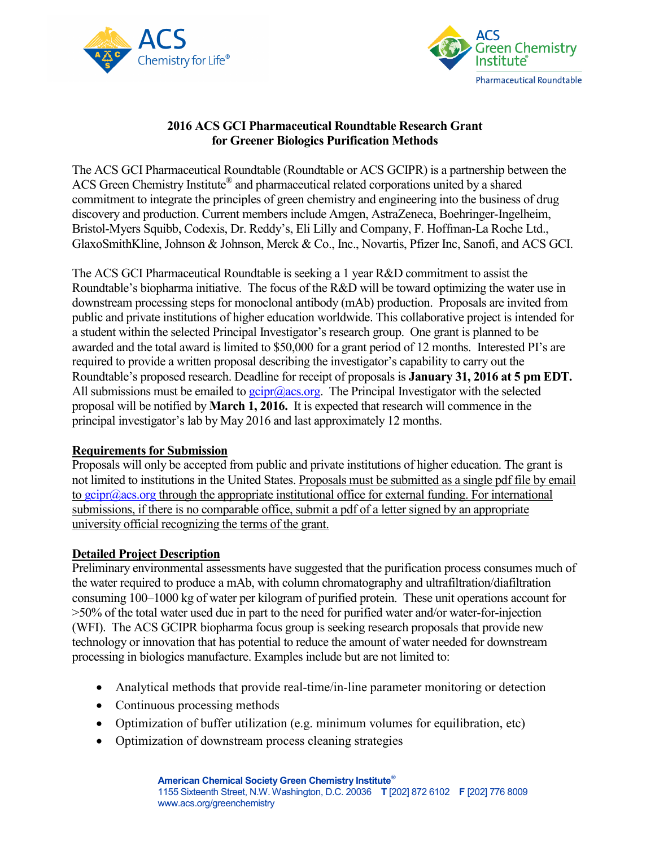



### **2016 ACS GCI Pharmaceutical Roundtable Research Grant for Greener Biologics Purification Methods**

The ACS GCI Pharmaceutical Roundtable (Roundtable or ACS GCIPR) is a partnership between the ACS Green Chemistry Institute<sup>®</sup> and pharmaceutical related corporations united by a shared commitment to integrate the principles of green chemistry and engineering into the business of drug discovery and production. Current members include Amgen, AstraZeneca, Boehringer-Ingelheim, Bristol-Myers Squibb, Codexis, Dr. Reddy's, Eli Lilly and Company, F. Hoffman-La Roche Ltd., GlaxoSmithKline, Johnson & Johnson, Merck & Co., Inc., Novartis, Pfizer Inc, Sanofi, and ACS GCI.

The ACS GCI Pharmaceutical Roundtable is seeking a 1 year R&D commitment to assist the Roundtable's biopharma initiative. The focus of the R&D will be toward optimizing the water use in downstream processing steps for monoclonal antibody (mAb) production. Proposals are invited from public and private institutions of higher education worldwide. This collaborative project is intended for a student within the selected Principal Investigator's research group. One grant is planned to be awarded and the total award is limited to \$50,000 for a grant period of 12 months. Interested PI's are required to provide a written proposal describing the investigator's capability to carry out the Roundtable's proposed research. Deadline for receipt of proposals is **January 31, 2016 at 5 pm EDT.** All submissions must be emailed to  $gcipr@acs.org$ . The Principal Investigator with the selected proposal will be notified by **March 1, 2016.** It is expected that research will commence in the principal investigator's lab by May 2016 and last approximately 12 months.

#### **Requirements for Submission**

Proposals will only be accepted from public and private institutions of higher education. The grant is not limited to institutions in the United States. Proposals must be submitted as a single pdf file by email to  $gcipr@acs.org$  through the appropriate institutional office for external funding. For international submissions, if there is no comparable office, submit a pdf of a letter signed by an appropriate university official recognizing the terms of the grant.

#### **Detailed Project Description**

Preliminary environmental assessments have suggested that the purification process consumes much of the water required to produce a mAb, with column chromatography and ultrafiltration/diafiltration consuming 100–1000 kg of water per kilogram of purified protein. These unit operations account for >50% of the total water used due in part to the need for purified water and/or water-for-injection (WFI). The ACS GCIPR biopharma focus group is seeking research proposals that provide new technology or innovation that has potential to reduce the amount of water needed for downstream processing in biologics manufacture. Examples include but are not limited to:

- Analytical methods that provide real-time/in-line parameter monitoring or detection
- Continuous processing methods
- Optimization of buffer utilization (e.g. minimum volumes for equilibration, etc)
- Optimization of downstream process cleaning strategies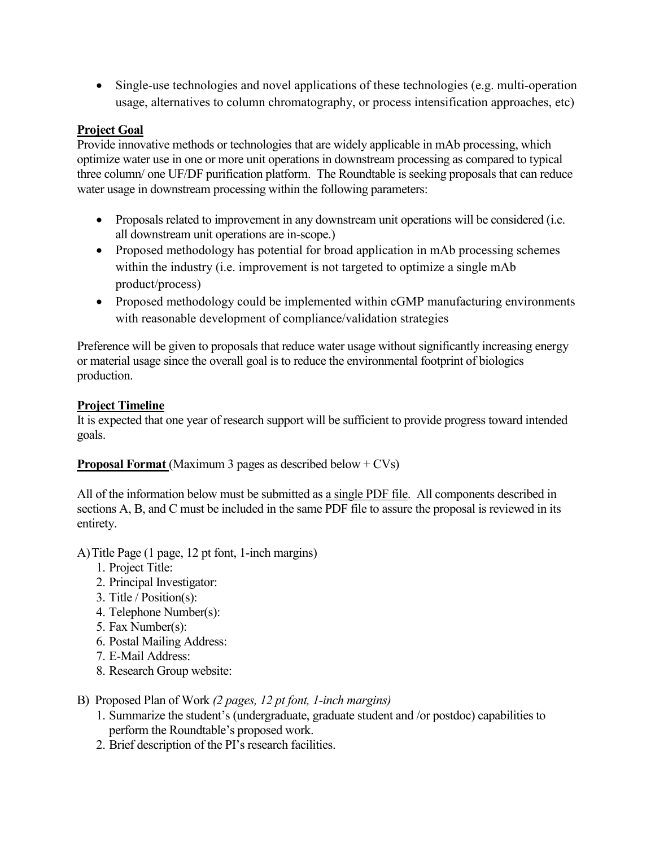• Single-use technologies and novel applications of these technologies (e.g. multi-operation usage, alternatives to column chromatography, or process intensification approaches, etc)

#### **Project Goal**

Provide innovative methods or technologies that are widely applicable in mAb processing, which optimize water use in one or more unit operations in downstream processing as compared to typical three column/ one UF/DF purification platform. The Roundtable is seeking proposals that can reduce water usage in downstream processing within the following parameters:

- Proposals related to improvement in any downstream unit operations will be considered (i.e. all downstream unit operations are in-scope.)
- Proposed methodology has potential for broad application in mAb processing schemes within the industry (i.e. improvement is not targeted to optimize a single mAb product/process)
- Proposed methodology could be implemented within cGMP manufacturing environments with reasonable development of compliance/validation strategies

Preference will be given to proposals that reduce water usage without significantly increasing energy or material usage since the overall goal is to reduce the environmental footprint of biologics production.

### **Project Timeline**

It is expected that one year of research support will be sufficient to provide progress toward intended goals.

## **Proposal Format** (Maximum 3 pages as described below + CVs)

All of the information below must be submitted as a single PDF file. All components described in sections A, B, and C must be included in the same PDF file to assure the proposal is reviewed in its entirety.

#### A)Title Page (1 page, 12 pt font, 1-inch margins)

- 1. Project Title:
- 2. Principal Investigator:
- 3. Title / Position(s):
- 4. Telephone Number(s):
- 5. Fax Number(s):
- 6. Postal Mailing Address:
- 7. E-Mail Address:
- 8. Research Group website:
- B) Proposed Plan of Work *(2 pages, 12 pt font, 1-inch margins)* 
	- 1. Summarize the student's (undergraduate, graduate student and /or postdoc) capabilities to perform the Roundtable's proposed work.
	- 2. Brief description of the PI's research facilities.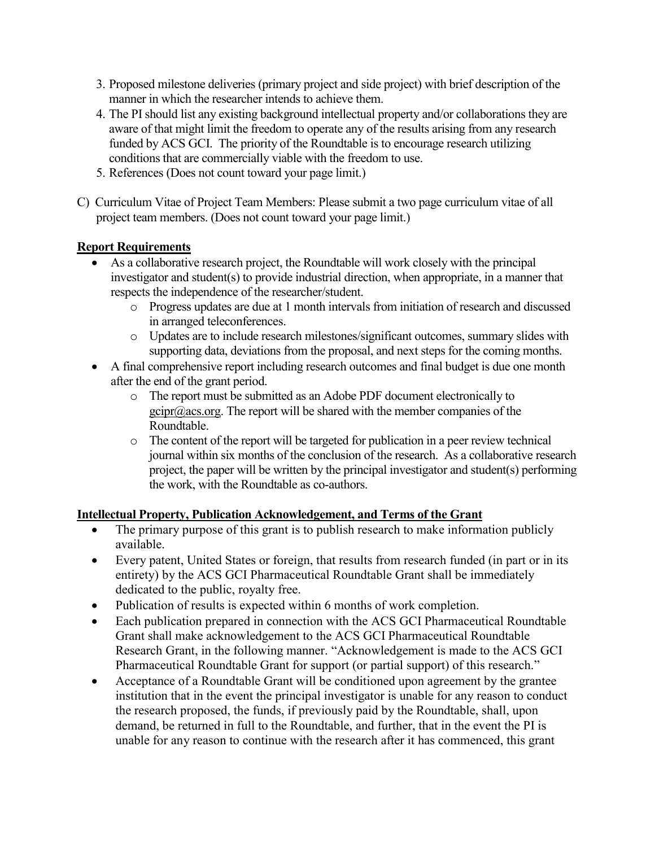- 3. Proposed milestone deliveries (primary project and side project) with brief description of the manner in which the researcher intends to achieve them.
- 4. The PI should list any existing background intellectual property and/or collaborations they are aware of that might limit the freedom to operate any of the results arising from any research funded by ACS GCI. The priority of the Roundtable is to encourage research utilizing conditions that are commercially viable with the freedom to use.
- 5. References (Does not count toward your page limit.)
- C) Curriculum Vitae of Project Team Members: Please submit a two page curriculum vitae of all project team members. (Does not count toward your page limit.)

### **Report Requirements**

- As a collaborative research project, the Roundtable will work closely with the principal investigator and student(s) to provide industrial direction, when appropriate, in a manner that respects the independence of the researcher/student.
	- o Progress updates are due at 1 month intervals from initiation of research and discussed in arranged teleconferences.
	- o Updates are to include research milestones/significant outcomes, summary slides with supporting data, deviations from the proposal, and next steps for the coming months.
- A final comprehensive report including research outcomes and final budget is due one month after the end of the grant period.
	- o The report must be submitted as an Adobe PDF document electronically to  $gcipr@acs.org$ . The report will be shared with the member companies of the Roundtable.
	- o The content of the report will be targeted for publication in a peer review technical journal within six months of the conclusion of the research. As a collaborative research project, the paper will be written by the principal investigator and student(s) performing the work, with the Roundtable as co-authors.

## **Intellectual Property, Publication Acknowledgement, and Terms of the Grant**

- The primary purpose of this grant is to publish research to make information publicly available.
- Every patent, United States or foreign, that results from research funded (in part or in its entirety) by the ACS GCI Pharmaceutical Roundtable Grant shall be immediately dedicated to the public, royalty free.
- Publication of results is expected within 6 months of work completion.
- Each publication prepared in connection with the ACS GCI Pharmaceutical Roundtable Grant shall make acknowledgement to the ACS GCI Pharmaceutical Roundtable Research Grant, in the following manner. "Acknowledgement is made to the ACS GCI Pharmaceutical Roundtable Grant for support (or partial support) of this research."
- Acceptance of a Roundtable Grant will be conditioned upon agreement by the grantee institution that in the event the principal investigator is unable for any reason to conduct the research proposed, the funds, if previously paid by the Roundtable, shall, upon demand, be returned in full to the Roundtable, and further, that in the event the PI is unable for any reason to continue with the research after it has commenced, this grant